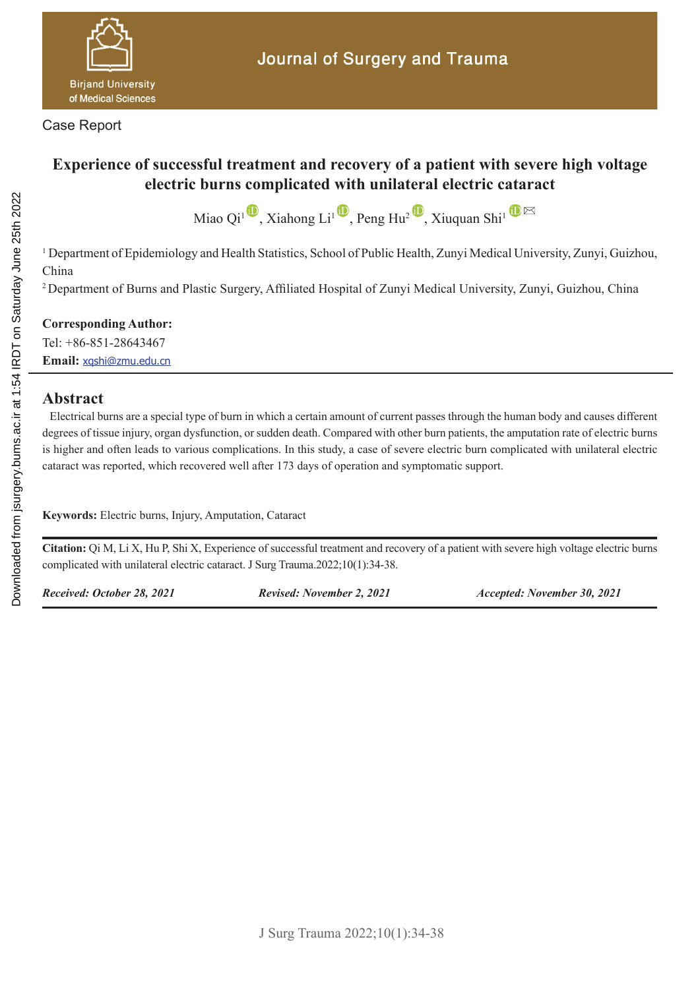

Case Report

# **Experience of successful treatment and recovery of a patient with severe high voltage electric burns complicated with unilateral electric cataract**

Miao Qi<sup>1</sup> , Xiahong Li<sup>1</sup> , Peng Hu<sup>2</sup> , Xiuquan Shi<sup>1</sup>  $\mathbf{D} \boxtimes$ 

<sup>1</sup> Department of Epidemiology and Health Statistics, School of Public Health, Zunyi Medical University, Zunyi, Guizhou, China

<sup>2</sup> Department of Burns and Plastic Surgery, Affiliated Hospital of Zunyi Medical University, Zunyi, Guizhou, China

**Corresponding Author:**

Tel: +86-851-28643467 **Email:** xqshi@zmu.edu.cn

#### **Abstract**

 Electrical burns are a special type of burn in which a certain amount of current passes through the human body and causes different degrees of tissue injury, organ dysfunction, or sudden death. Compared with other burn patients, the amputation rate of electric burns is higher and often leads to various complications. In this study, a case of severe electric burn complicated with unilateral electric cataract was reported, which recovered well after 173 days of operation and symptomatic support.

**Keywords:** Electric burns, Injury, Amputation, Cataract

**Citation:** Qi M, Li X, Hu P, Shi X, Experience of successful treatment and recovery of a patient with severe high voltage electric burns complicated with unilateral electric cataract. J Surg Trauma.2022;10(1):34-38.

*Received: October 28, 2021 Revised: November 2, 2021 Accepted: November 30, 2021*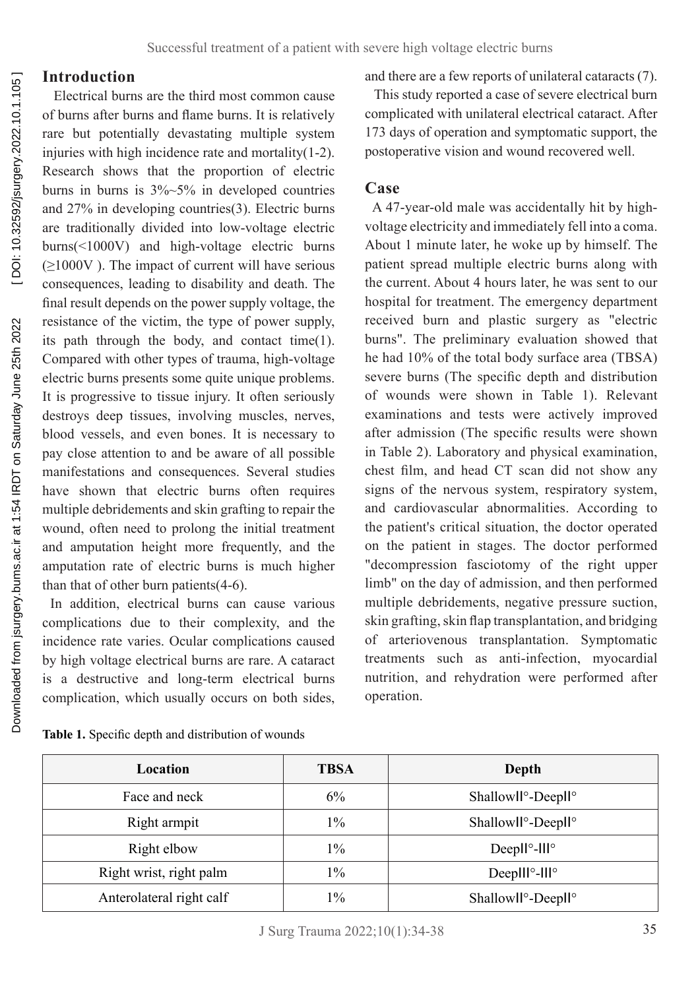### **Introduction**

 Electrical burns are the third most common cause of burns after burns and flame burns. It is relatively rare but potentially devastating multiple system injuries with high incidence rate and mortality(1-2). Research shows that the proportion of electric burns in burns is  $3\%~5\%$  in developed countries and 27% in developing countries(3). Electric burns are traditionally divided into low-voltage electric burns(<1000V) and high-voltage electric burns  $(\geq 1000V)$ . The impact of current will have serious consequences, leading to disability and death. The final result depends on the power supply voltage, the resistance of the victim, the type of power supply, its path through the body, and contact time(1). Compared with other types of trauma, high-voltage electric burns presents some quite unique problems. It is progressive to tissue injury. It often seriously destroys deep tissues, involving muscles, nerves, blood vessels, and even bones. It is necessary to pay close attention to and be aware of all possible manifestations and consequences. Several studies have shown that electric burns often requires multiple debridements and skin grafting to repair the wound, often need to prolong the initial treatment and amputation height more frequently, and the amputation rate of electric burns is much higher than that of other burn patients(4-6).

 In addition, electrical burns can cause various complications due to their complexity, and the incidence rate varies. Ocular complications caused by high voltage electrical burns are rare. A cataract is a destructive and long-term electrical burns complication, which usually occurs on both sides,

and there are a few reports of unilateral cataracts (7).

 This study reported a case of severe electrical burn complicated with unilateral electrical cataract. After 173 days of operation and symptomatic support, the postoperative vision and wound recovered well.

#### **Case**

 A 47-year-old male was accidentally hit by highvoltage electricity and immediately fell into a coma. About 1 minute later, he woke up by himself. The patient spread multiple electric burns along with the current. About 4 hours later, he was sent to our hospital for treatment. The emergency department received burn and plastic surgery as "electric burns". The preliminary evaluation showed that he had 10% of the total body surface area (TBSA) severe burns (The specific depth and distribution of wounds were shown in Table 1). Relevant examinations and tests were actively improved after admission (The specific results were shown in Table 2). Laboratory and physical examination, chest film, and head CT scan did not show any signs of the nervous system, respiratory system, and cardiovascular abnormalities. According to the patient's critical situation, the doctor operated on the patient in stages. The doctor performed "decompression fasciotomy of the right upper limb" on the day of admission, and then performed multiple debridements, negative pressure suction, skin grafting, skin flap transplantation, and bridging of arteriovenous transplantation. Symptomatic treatments such as anti-infection, myocardial nutrition, and rehydration were performed after operation.

| Location                 | <b>TBSA</b> | Depth                                       |  |
|--------------------------|-------------|---------------------------------------------|--|
| Face and neck            | 6%          | Shallowll <sup>o</sup> -Deepll <sup>o</sup> |  |
| Right armpit             | $1\%$       | Shallowll <sup>o</sup> -Deepll <sup>o</sup> |  |
| Right elbow              | $1\%$       | Deep $II^{\circ}$ -III $^{\circ}$           |  |
| Right wrist, right palm  | $1\%$       | Deep $III^{\circ}$ -III°                    |  |
| Anterolateral right calf | $1\%$       | Shallowll <sup>o</sup> -Deepll <sup>o</sup> |  |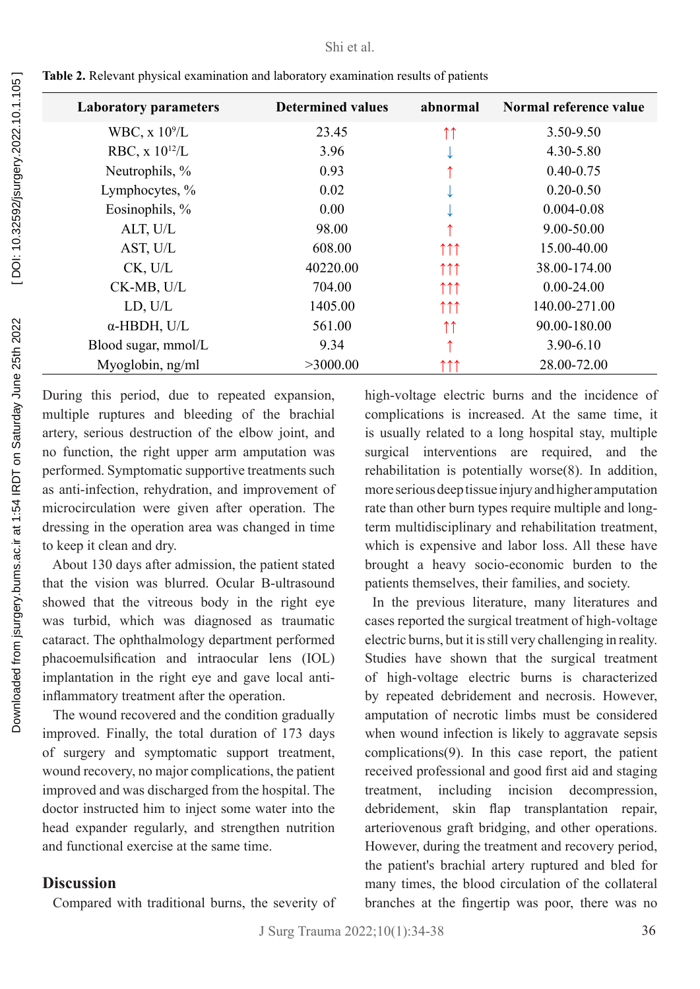| <b>Laboratory parameters</b> | <b>Determined values</b> | abnormal                     | Normal reference value |
|------------------------------|--------------------------|------------------------------|------------------------|
| WBC, $x 10^9/L$              | 23.45                    | $\uparrow\uparrow$           | 3.50-9.50              |
| RBC, $x 10^{12}/L$           | 3.96                     | ↵                            | 4.30-5.80              |
| Neutrophils, %               | 0.93                     |                              | $0.40 - 0.75$          |
| Lymphocytes, %               | 0.02                     |                              | $0.20 - 0.50$          |
| Eosinophils, %               | 0.00                     |                              | $0.004 - 0.08$         |
| ALT, U/L                     | 98.00                    |                              | 9.00-50.00             |
| AST, U/L                     | 608.00                   | $\uparrow \uparrow \uparrow$ | 15.00-40.00            |
| CK, U/L                      | 40220.00                 | $\uparrow \uparrow \uparrow$ | 38.00-174.00           |
| CK-MB, U/L                   | 704.00                   | $\uparrow \uparrow \uparrow$ | $0.00 - 24.00$         |
| LD, U/L                      | 1405.00                  | $\uparrow \uparrow \uparrow$ | 140.00-271.00          |
| $\alpha$ -HBDH, U/L          | 561.00                   | ↑↑                           | 90.00-180.00           |
| Blood sugar, mmol/L          | 9.34                     |                              | $3.90 - 6.10$          |
| Myoglobin, ng/ml             | >3000.00                 | ↑↑↑                          | 28.00-72.00            |

**Table 2.** Relevant physical examination and laboratory examination results of patients

During this period, due to repeated expansion, multiple ruptures and bleeding of the brachial artery, serious destruction of the elbow joint, and no function, the right upper arm amputation was performed. Symptomatic supportive treatments such as anti-infection, rehydration, and improvement of microcirculation were given after operation. The dressing in the operation area was changed in time to keep it clean and dry.

 About 130 days after admission, the patient stated that the vision was blurred. Ocular B-ultrasound showed that the vitreous body in the right eye was turbid, which was diagnosed as traumatic cataract. The ophthalmology department performed phacoemulsification and intraocular lens (IOL) implantation in the right eye and gave local antiinflammatory treatment after the operation.

 The wound recovered and the condition gradually improved. Finally, the total duration of 173 days of surgery and symptomatic support treatment, wound recovery, no major complications, the patient improved and was discharged from the hospital. The doctor instructed him to inject some water into the head expander regularly, and strengthen nutrition and functional exercise at the same time.

#### **Discussion**

Compared with traditional burns, the severity of

high-voltage electric burns and the incidence of complications is increased. At the same time, it is usually related to a long hospital stay, multiple surgical interventions are required, and the rehabilitation is potentially worse(8). In addition, more serious deep tissue injury and higher amputation rate than other burn types require multiple and longterm multidisciplinary and rehabilitation treatment, which is expensive and labor loss. All these have brought a heavy socio-economic burden to the patients themselves, their families, and society.

 In the previous literature, many literatures and cases reported the surgical treatment of high-voltage electric burns, but it is still very challenging in reality. Studies have shown that the surgical treatment of high-voltage electric burns is characterized by repeated debridement and necrosis. However, amputation of necrotic limbs must be considered when wound infection is likely to aggravate sepsis complications(9). In this case report, the patient received professional and good first aid and staging treatment, including incision decompression, debridement, skin flap transplantation repair, arteriovenous graft bridging, and other operations. However, during the treatment and recovery period, the patient's brachial artery ruptured and bled for many times, the blood circulation of the collateral branches at the fingertip was poor, there was no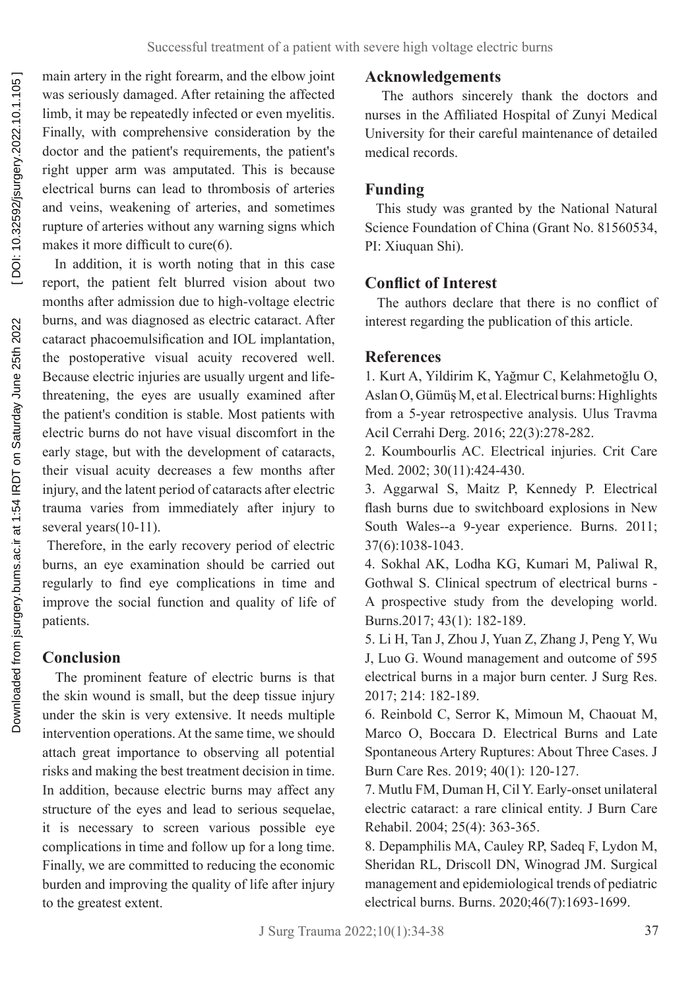main artery in the right forearm, and the elbow joint was seriously damaged. After retaining the affected limb, it may be repeatedly infected or even myelitis. Finally, with comprehensive consideration by the doctor and the patient's requirements, the patient's right upper arm was amputated. This is because electrical burns can lead to thrombosis of arteries and veins, weakening of arteries, and sometimes rupture of arteries without any warning signs which makes it more difficult to cure(6).

 In addition, it is worth noting that in this case report, the patient felt blurred vision about two months after admission due to high-voltage electric burns, and was diagnosed as electric cataract. After cataract phacoemulsification and IOL implantation, the postoperative visual acuity recovered well. Because electric injuries are usually urgent and lifethreatening, the eyes are usually examined after the patient's condition is stable. Most patients with electric burns do not have visual discomfort in the early stage, but with the development of cataracts, their visual acuity decreases a few months after injury, and the latent period of cataracts after electric trauma varies from immediately after injury to several years(10-11).

 Therefore, in the early recovery period of electric burns, an eye examination should be carried out regularly to find eye complications in time and improve the social function and quality of life of patients.

## **Conclusion**

 The prominent feature of electric burns is that the skin wound is small, but the deep tissue injury under the skin is very extensive. It needs multiple intervention operations. At the same time, we should attach great importance to observing all potential risks and making the best treatment decision in time. In addition, because electric burns may affect any structure of the eyes and lead to serious sequelae, it is necessary to screen various possible eye complications in time and follow up for a long time. Finally, we are committed to reducing the economic burden and improving the quality of life after injury to the greatest extent.

## **Acknowledgements**

 The authors sincerely thank the doctors and nurses in the Affiliated Hospital of Zunyi Medical University for their careful maintenance of detailed medical records.

## **Funding**

 This study was granted by the National Natural Science Foundation of China (Grant No. 81560534, PI: Xiuquan Shi).

## **Conflict of Interest**

 The authors declare that there is no conflict of interest regarding the publication of this article.

## **References**

1. Kurt A, Yildirim K, Yağmur C, Kelahmetoğlu O, Aslan O, Gümüş M, et al. Electrical burns: Highlights from a 5-year retrospective analysis. Ulus Travma Acil Cerrahi Derg. 2016; 22(3):278-282.

2. Koumbourlis AC. Electrical injuries. Crit Care Med. 2002; 30(11):424-430.

3. Aggarwal S, Maitz P, Kennedy P. Electrical flash burns due to switchboard explosions in New South Wales--a 9-year experience. Burns. 2011; 37(6):1038-1043.

4. Sokhal AK, Lodha KG, Kumari M, Paliwal R, Gothwal S. Clinical spectrum of electrical burns - A prospective study from the developing world. Burns.2017; 43(1): 182-189.

5. Li H, Tan J, Zhou J, Yuan Z, Zhang J, Peng Y, Wu J, Luo G. Wound management and outcome of 595 electrical burns in a major burn center. J Surg Res. 2017; 214: 182-189.

6. Reinbold C, Serror K, Mimoun M, Chaouat M, Marco O, Boccara D. Electrical Burns and Late Spontaneous Artery Ruptures: About Three Cases. J Burn Care Res. 2019; 40(1): 120-127.

7. Mutlu FM, Duman H, Cil Y. Early-onset unilateral electric cataract: a rare clinical entity. J Burn Care Rehabil. 2004; 25(4): 363-365.

8. Depamphilis MA, Cauley RP, Sadeq F, Lydon M, Sheridan RL, Driscoll DN, Winograd JM. Surgical management and epidemiological trends of pediatric electrical burns. Burns. 2020;46(7):1693-1699.